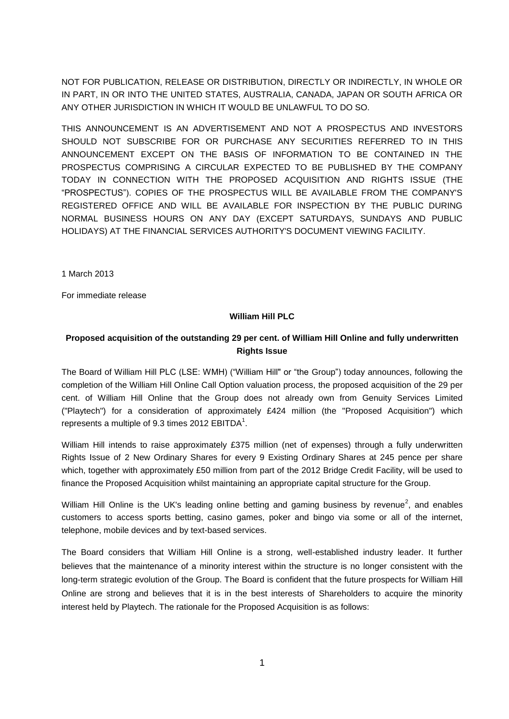NOT FOR PUBLICATION, RELEASE OR DISTRIBUTION, DIRECTLY OR INDIRECTLY, IN WHOLE OR IN PART, IN OR INTO THE UNITED STATES, AUSTRALIA, CANADA, JAPAN OR SOUTH AFRICA OR ANY OTHER JURISDICTION IN WHICH IT WOULD BE UNLAWFUL TO DO SO.

THIS ANNOUNCEMENT IS AN ADVERTISEMENT AND NOT A PROSPECTUS AND INVESTORS SHOULD NOT SUBSCRIBE FOR OR PURCHASE ANY SECURITIES REFERRED TO IN THIS ANNOUNCEMENT EXCEPT ON THE BASIS OF INFORMATION TO BE CONTAINED IN THE PROSPECTUS COMPRISING A CIRCULAR EXPECTED TO BE PUBLISHED BY THE COMPANY TODAY IN CONNECTION WITH THE PROPOSED ACQUISITION AND RIGHTS ISSUE (THE "PROSPECTUS"). COPIES OF THE PROSPECTUS WILL BE AVAILABLE FROM THE COMPANY'S REGISTERED OFFICE AND WILL BE AVAILABLE FOR INSPECTION BY THE PUBLIC DURING NORMAL BUSINESS HOURS ON ANY DAY (EXCEPT SATURDAYS, SUNDAYS AND PUBLIC HOLIDAYS) AT THE FINANCIAL SERVICES AUTHORITY'S DOCUMENT VIEWING FACILITY.

1 March 2013

For immediate release

### **William Hill PLC**

# **Proposed acquisition of the outstanding 29 per cent. of William Hill Online and fully underwritten Rights Issue**

The Board of William Hill PLC (LSE: WMH) ("William Hill" or "the Group") today announces, following the completion of the William Hill Online Call Option valuation process, the proposed acquisition of the 29 per cent. of William Hill Online that the Group does not already own from Genuity Services Limited ("Playtech") for a consideration of approximately £424 million (the "Proposed Acquisition") which represents a multiple of 9.3 times 2012  $EBITDA<sup>1</sup>$ .

William Hill intends to raise approximately £375 million (net of expenses) through a fully underwritten Rights Issue of 2 New Ordinary Shares for every 9 Existing Ordinary Shares at 245 pence per share which, together with approximately £50 million from part of the 2012 Bridge Credit Facility, will be used to finance the Proposed Acquisition whilst maintaining an appropriate capital structure for the Group.

William Hill Online is the UK's leading online betting and gaming business by revenue<sup>2</sup>, and enables customers to access sports betting, casino games, poker and bingo via some or all of the internet, telephone, mobile devices and by text-based services.

The Board considers that William Hill Online is a strong, well-established industry leader. It further believes that the maintenance of a minority interest within the structure is no longer consistent with the long-term strategic evolution of the Group. The Board is confident that the future prospects for William Hill Online are strong and believes that it is in the best interests of Shareholders to acquire the minority interest held by Playtech. The rationale for the Proposed Acquisition is as follows: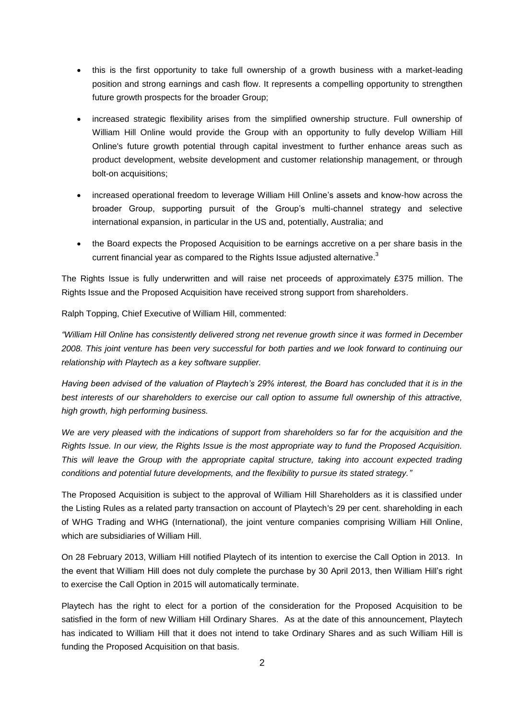- this is the first opportunity to take full ownership of a growth business with a market-leading position and strong earnings and cash flow. It represents a compelling opportunity to strengthen future growth prospects for the broader Group;
- increased strategic flexibility arises from the simplified ownership structure. Full ownership of William Hill Online would provide the Group with an opportunity to fully develop William Hill Online's future growth potential through capital investment to further enhance areas such as product development, website development and customer relationship management, or through bolt-on acquisitions;
- increased operational freedom to leverage William Hill Online's assets and know-how across the broader Group, supporting pursuit of the Group's multi-channel strategy and selective international expansion, in particular in the US and, potentially, Australia; and
- the Board expects the Proposed Acquisition to be earnings accretive on a per share basis in the current financial year as compared to the Rights Issue adjusted alternative. $3$

The Rights Issue is fully underwritten and will raise net proceeds of approximately £375 million. The Rights Issue and the Proposed Acquisition have received strong support from shareholders.

Ralph Topping, Chief Executive of William Hill, commented:

*"William Hill Online has consistently delivered strong net revenue growth since it was formed in December 2008. This joint venture has been very successful for both parties and we look forward to continuing our relationship with Playtech as a key software supplier.*

*Having been advised of the valuation of Playtech's 29% interest, the Board has concluded that it is in the best interests of our shareholders to exercise our call option to assume full ownership of this attractive, high growth, high performing business.*

*We are very pleased with the indications of support from shareholders so far for the acquisition and the Rights Issue. In our view, the Rights Issue is the most appropriate way to fund the Proposed Acquisition. This will leave the Group with the appropriate capital structure, taking into account expected trading conditions and potential future developments, and the flexibility to pursue its stated strategy."*

The Proposed Acquisition is subject to the approval of William Hill Shareholders as it is classified under the Listing Rules as a related party transaction on account of Playtech's 29 per cent. shareholding in each of WHG Trading and WHG (International), the joint venture companies comprising William Hill Online, which are subsidiaries of William Hill.

On 28 February 2013, William Hill notified Playtech of its intention to exercise the Call Option in 2013. In the event that William Hill does not duly complete the purchase by 30 April 2013, then William Hill's right to exercise the Call Option in 2015 will automatically terminate.

Playtech has the right to elect for a portion of the consideration for the Proposed Acquisition to be satisfied in the form of new William Hill Ordinary Shares. As at the date of this announcement, Playtech has indicated to William Hill that it does not intend to take Ordinary Shares and as such William Hill is funding the Proposed Acquisition on that basis.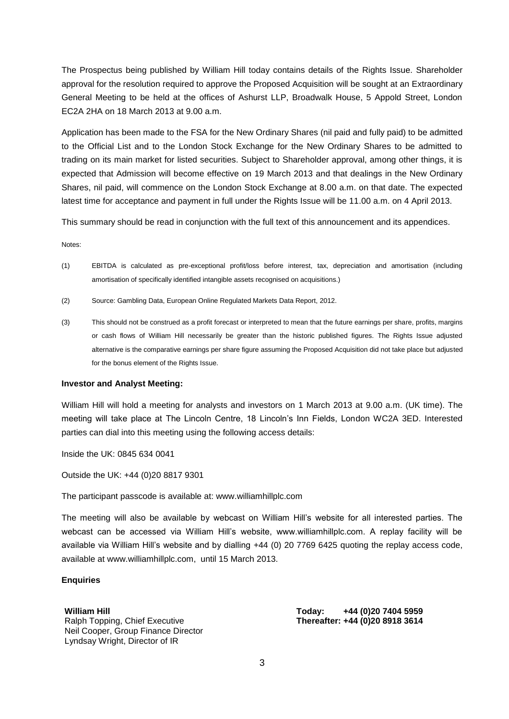The Prospectus being published by William Hill today contains details of the Rights Issue. Shareholder approval for the resolution required to approve the Proposed Acquisition will be sought at an Extraordinary General Meeting to be held at the offices of Ashurst LLP, Broadwalk House, 5 Appold Street, London EC2A 2HA on 18 March 2013 at 9.00 a.m.

Application has been made to the FSA for the New Ordinary Shares (nil paid and fully paid) to be admitted to the Official List and to the London Stock Exchange for the New Ordinary Shares to be admitted to trading on its main market for listed securities. Subject to Shareholder approval, among other things, it is expected that Admission will become effective on 19 March 2013 and that dealings in the New Ordinary Shares, nil paid, will commence on the London Stock Exchange at 8.00 a.m. on that date. The expected latest time for acceptance and payment in full under the Rights Issue will be 11.00 a.m. on 4 April 2013.

This summary should be read in conjunction with the full text of this announcement and its appendices.

Notes:

- (1) EBITDA is calculated as pre-exceptional profit/loss before interest, tax, depreciation and amortisation (including amortisation of specifically identified intangible assets recognised on acquisitions.)
- (2) Source: Gambling Data, European Online Regulated Markets Data Report, 2012.
- (3) This should not be construed as a profit forecast or interpreted to mean that the future earnings per share, profits, margins or cash flows of William Hill necessarily be greater than the historic published figures. The Rights Issue adjusted alternative is the comparative earnings per share figure assuming the Proposed Acquisition did not take place but adjusted for the bonus element of the Rights Issue.

#### **Investor and Analyst Meeting:**

William Hill will hold a meeting for analysts and investors on 1 March 2013 at 9.00 a.m. (UK time). The meeting will take place at The Lincoln Centre, 18 Lincoln's Inn Fields, London WC2A 3ED. Interested parties can dial into this meeting using the following access details:

Inside the UK: 0845 634 0041

Outside the UK: +44 (0)20 8817 9301

The participant passcode is available at: www.williamhillplc.com

The meeting will also be available by webcast on William Hill's website for all interested parties. The webcast can be accessed via William Hill's website, www.williamhillplc.com. A replay facility will be available via William Hill's website and by dialling +44 (0) 20 7769 6425 quoting the replay access code, available at www.williamhillplc.com, until 15 March 2013.

#### **Enquiries**

**William Hill** Ralph Topping, Chief Executive Neil Cooper, Group Finance Director Lyndsay Wright, Director of IR

**Today: +44 (0)20 7404 5959 Thereafter: +44 (0)20 8918 3614**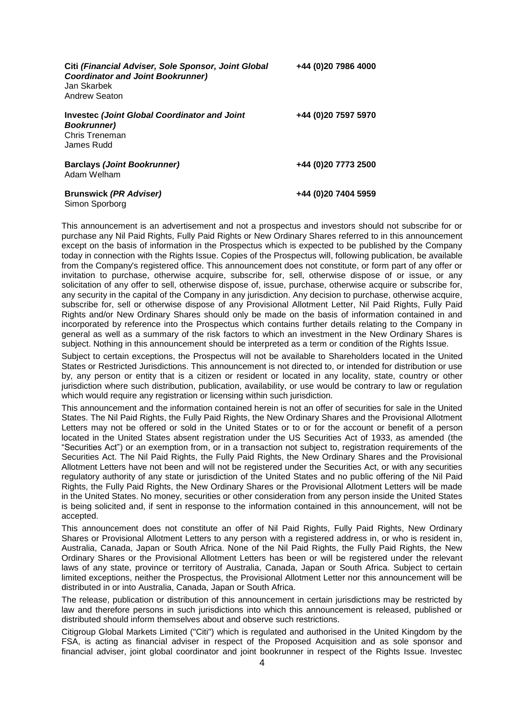| Citi (Financial Adviser, Sole Sponsor, Joint Global<br><b>Coordinator and Joint Bookrunner)</b><br>Jan Skarbek<br>Andrew Seaton | +44 (0)20 7986 4000 |
|---------------------------------------------------------------------------------------------------------------------------------|---------------------|
| <b>Investec (Joint Global Coordinator and Joint</b><br><b>Bookrunner</b> )<br>Chris Treneman<br>James Rudd                      | +44 (0)20 7597 5970 |
| <b>Barclays (Joint Bookrunner)</b><br>Adam Welham                                                                               | +44 (0)20 7773 2500 |
| <b>Brunswick (PR Adviser)</b><br>Simon Sporborg                                                                                 | +44 (0)20 7404 5959 |

This announcement is an advertisement and not a prospectus and investors should not subscribe for or purchase any Nil Paid Rights, Fully Paid Rights or New Ordinary Shares referred to in this announcement except on the basis of information in the Prospectus which is expected to be published by the Company today in connection with the Rights Issue. Copies of the Prospectus will, following publication, be available from the Company's registered office. This announcement does not constitute, or form part of any offer or invitation to purchase, otherwise acquire, subscribe for, sell, otherwise dispose of or issue, or any solicitation of any offer to sell, otherwise dispose of, issue, purchase, otherwise acquire or subscribe for, any security in the capital of the Company in any jurisdiction. Any decision to purchase, otherwise acquire, subscribe for, sell or otherwise dispose of any Provisional Allotment Letter, Nil Paid Rights, Fully Paid Rights and/or New Ordinary Shares should only be made on the basis of information contained in and incorporated by reference into the Prospectus which contains further details relating to the Company in general as well as a summary of the risk factors to which an investment in the New Ordinary Shares is subject. Nothing in this announcement should be interpreted as a term or condition of the Rights Issue.

Subject to certain exceptions, the Prospectus will not be available to Shareholders located in the United States or Restricted Jurisdictions. This announcement is not directed to, or intended for distribution or use by, any person or entity that is a citizen or resident or located in any locality, state, country or other jurisdiction where such distribution, publication, availability, or use would be contrary to law or regulation which would require any registration or licensing within such jurisdiction.

This announcement and the information contained herein is not an offer of securities for sale in the United States. The Nil Paid Rights, the Fully Paid Rights, the New Ordinary Shares and the Provisional Allotment Letters may not be offered or sold in the United States or to or for the account or benefit of a person located in the United States absent registration under the US Securities Act of 1933, as amended (the "Securities Act") or an exemption from, or in a transaction not subject to, registration requirements of the Securities Act. The Nil Paid Rights, the Fully Paid Rights, the New Ordinary Shares and the Provisional Allotment Letters have not been and will not be registered under the Securities Act, or with any securities regulatory authority of any state or jurisdiction of the United States and no public offering of the Nil Paid Rights, the Fully Paid Rights, the New Ordinary Shares or the Provisional Allotment Letters will be made in the United States. No money, securities or other consideration from any person inside the United States is being solicited and, if sent in response to the information contained in this announcement, will not be accepted.

This announcement does not constitute an offer of Nil Paid Rights, Fully Paid Rights, New Ordinary Shares or Provisional Allotment Letters to any person with a registered address in, or who is resident in, Australia, Canada, Japan or South Africa. None of the Nil Paid Rights, the Fully Paid Rights, the New Ordinary Shares or the Provisional Allotment Letters has been or will be registered under the relevant laws of any state, province or territory of Australia, Canada, Japan or South Africa. Subject to certain limited exceptions, neither the Prospectus, the Provisional Allotment Letter nor this announcement will be distributed in or into Australia, Canada, Japan or South Africa.

The release, publication or distribution of this announcement in certain jurisdictions may be restricted by law and therefore persons in such jurisdictions into which this announcement is released, published or distributed should inform themselves about and observe such restrictions.

Citigroup Global Markets Limited ("Citi") which is regulated and authorised in the United Kingdom by the FSA, is acting as financial adviser in respect of the Proposed Acquisition and as sole sponsor and financial adviser, joint global coordinator and joint bookrunner in respect of the Rights Issue. Investec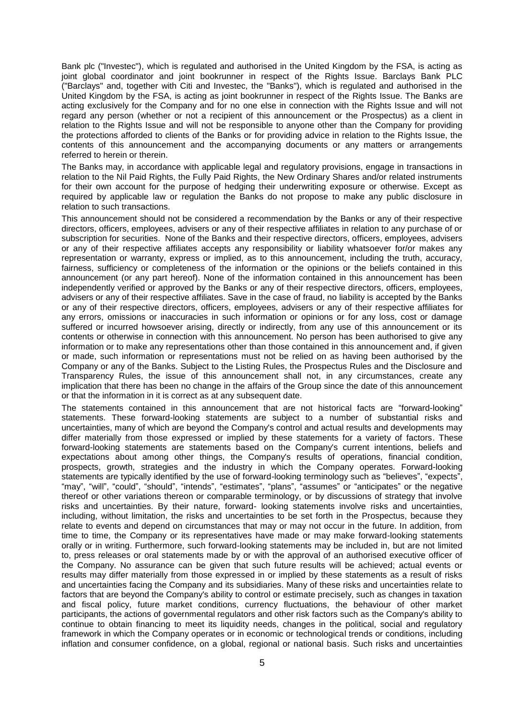Bank plc ("Investec"), which is regulated and authorised in the United Kingdom by the FSA, is acting as joint global coordinator and joint bookrunner in respect of the Rights Issue. Barclays Bank PLC ("Barclays" and, together with Citi and Investec, the "Banks"), which is regulated and authorised in the United Kingdom by the FSA, is acting as joint bookrunner in respect of the Rights Issue. The Banks are acting exclusively for the Company and for no one else in connection with the Rights Issue and will not regard any person (whether or not a recipient of this announcement or the Prospectus) as a client in relation to the Rights Issue and will not be responsible to anyone other than the Company for providing the protections afforded to clients of the Banks or for providing advice in relation to the Rights Issue, the contents of this announcement and the accompanying documents or any matters or arrangements referred to herein or therein.

The Banks may, in accordance with applicable legal and regulatory provisions, engage in transactions in relation to the Nil Paid Rights, the Fully Paid Rights, the New Ordinary Shares and/or related instruments for their own account for the purpose of hedging their underwriting exposure or otherwise. Except as required by applicable law or regulation the Banks do not propose to make any public disclosure in relation to such transactions.

This announcement should not be considered a recommendation by the Banks or any of their respective directors, officers, employees, advisers or any of their respective affiliates in relation to any purchase of or subscription for securities. None of the Banks and their respective directors, officers, employees, advisers or any of their respective affiliates accepts any responsibility or liability whatsoever for/or makes any representation or warranty, express or implied, as to this announcement, including the truth, accuracy, fairness, sufficiency or completeness of the information or the opinions or the beliefs contained in this announcement (or any part hereof). None of the information contained in this announcement has been independently verified or approved by the Banks or any of their respective directors, officers, employees, advisers or any of their respective affiliates. Save in the case of fraud, no liability is accepted by the Banks or any of their respective directors, officers, employees, advisers or any of their respective affiliates for any errors, omissions or inaccuracies in such information or opinions or for any loss, cost or damage suffered or incurred howsoever arising, directly or indirectly, from any use of this announcement or its contents or otherwise in connection with this announcement. No person has been authorised to give any information or to make any representations other than those contained in this announcement and, if given or made, such information or representations must not be relied on as having been authorised by the Company or any of the Banks. Subject to the Listing Rules, the Prospectus Rules and the Disclosure and Transparency Rules, the issue of this announcement shall not, in any circumstances, create any implication that there has been no change in the affairs of the Group since the date of this announcement or that the information in it is correct as at any subsequent date.

The statements contained in this announcement that are not historical facts are "forward-looking" statements. These forward-looking statements are subject to a number of substantial risks and uncertainties, many of which are beyond the Company's control and actual results and developments may differ materially from those expressed or implied by these statements for a variety of factors. These forward-looking statements are statements based on the Company's current intentions, beliefs and expectations about among other things, the Company's results of operations, financial condition, prospects, growth, strategies and the industry in which the Company operates. Forward-looking statements are typically identified by the use of forward-looking terminology such as "believes", "expects", "may", "will", "could", "should", "intends", "estimates", "plans", "assumes" or "anticipates" or the negative thereof or other variations thereon or comparable terminology, or by discussions of strategy that involve risks and uncertainties. By their nature, forward- looking statements involve risks and uncertainties, including, without limitation, the risks and uncertainties to be set forth in the Prospectus, because they relate to events and depend on circumstances that may or may not occur in the future. In addition, from time to time, the Company or its representatives have made or may make forward-looking statements orally or in writing. Furthermore, such forward-looking statements may be included in, but are not limited to, press releases or oral statements made by or with the approval of an authorised executive officer of the Company. No assurance can be given that such future results will be achieved; actual events or results may differ materially from those expressed in or implied by these statements as a result of risks and uncertainties facing the Company and its subsidiaries. Many of these risks and uncertainties relate to factors that are beyond the Company's ability to control or estimate precisely, such as changes in taxation and fiscal policy, future market conditions, currency fluctuations, the behaviour of other market participants, the actions of governmental regulators and other risk factors such as the Company's ability to continue to obtain financing to meet its liquidity needs, changes in the political, social and regulatory framework in which the Company operates or in economic or technological trends or conditions, including inflation and consumer confidence, on a global, regional or national basis. Such risks and uncertainties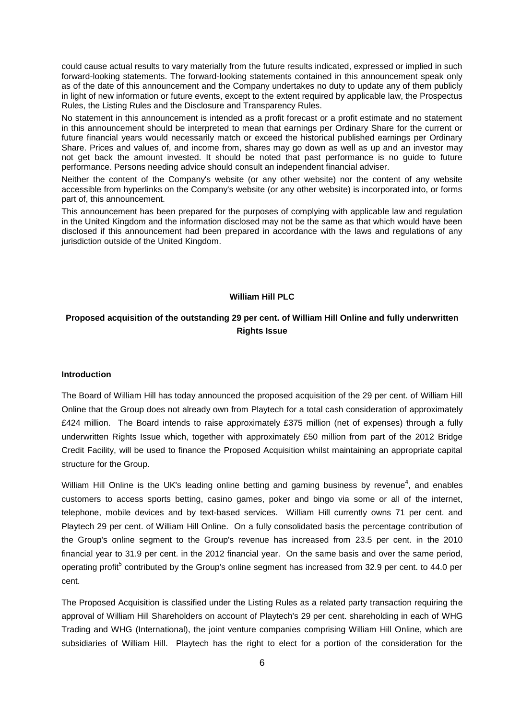could cause actual results to vary materially from the future results indicated, expressed or implied in such forward-looking statements. The forward-looking statements contained in this announcement speak only as of the date of this announcement and the Company undertakes no duty to update any of them publicly in light of new information or future events, except to the extent required by applicable law, the Prospectus Rules, the Listing Rules and the Disclosure and Transparency Rules.

No statement in this announcement is intended as a profit forecast or a profit estimate and no statement in this announcement should be interpreted to mean that earnings per Ordinary Share for the current or future financial years would necessarily match or exceed the historical published earnings per Ordinary Share. Prices and values of, and income from, shares may go down as well as up and an investor may not get back the amount invested. It should be noted that past performance is no guide to future performance. Persons needing advice should consult an independent financial adviser.

Neither the content of the Company's website (or any other website) nor the content of any website accessible from hyperlinks on the Company's website (or any other website) is incorporated into, or forms part of, this announcement.

This announcement has been prepared for the purposes of complying with applicable law and regulation in the United Kingdom and the information disclosed may not be the same as that which would have been disclosed if this announcement had been prepared in accordance with the laws and regulations of any jurisdiction outside of the United Kingdom.

### **William Hill PLC**

# **Proposed acquisition of the outstanding 29 per cent. of William Hill Online and fully underwritten Rights Issue**

#### **Introduction**

The Board of William Hill has today announced the proposed acquisition of the 29 per cent. of William Hill Online that the Group does not already own from Playtech for a total cash consideration of approximately £424 million. The Board intends to raise approximately £375 million (net of expenses) through a fully underwritten Rights Issue which, together with approximately £50 million from part of the 2012 Bridge Credit Facility, will be used to finance the Proposed Acquisition whilst maintaining an appropriate capital structure for the Group.

William Hill Online is the UK's leading online betting and gaming business by revenue<sup>4</sup>, and enables customers to access sports betting, casino games, poker and bingo via some or all of the internet, telephone, mobile devices and by text-based services. William Hill currently owns 71 per cent. and Playtech 29 per cent. of William Hill Online. On a fully consolidated basis the percentage contribution of the Group's online segment to the Group's revenue has increased from 23.5 per cent. in the 2010 financial year to 31.9 per cent. in the 2012 financial year. On the same basis and over the same period, operating profit<sup>5</sup> contributed by the Group's online segment has increased from 32.9 per cent. to 44.0 per cent.

The Proposed Acquisition is classified under the Listing Rules as a related party transaction requiring the approval of William Hill Shareholders on account of Playtech's 29 per cent. shareholding in each of WHG Trading and WHG (International), the joint venture companies comprising William Hill Online, which are subsidiaries of William Hill. Playtech has the right to elect for a portion of the consideration for the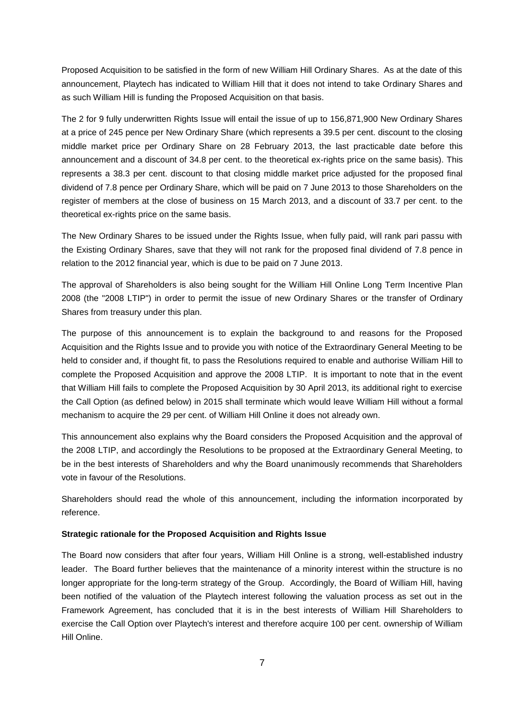Proposed Acquisition to be satisfied in the form of new William Hill Ordinary Shares. As at the date of this announcement, Playtech has indicated to William Hill that it does not intend to take Ordinary Shares and as such William Hill is funding the Proposed Acquisition on that basis.

The 2 for 9 fully underwritten Rights Issue will entail the issue of up to 156,871,900 New Ordinary Shares at a price of 245 pence per New Ordinary Share (which represents a 39.5 per cent. discount to the closing middle market price per Ordinary Share on 28 February 2013, the last practicable date before this announcement and a discount of 34.8 per cent. to the theoretical ex-rights price on the same basis). This represents a 38.3 per cent. discount to that closing middle market price adjusted for the proposed final dividend of 7.8 pence per Ordinary Share, which will be paid on 7 June 2013 to those Shareholders on the register of members at the close of business on 15 March 2013, and a discount of 33.7 per cent. to the theoretical ex-rights price on the same basis.

The New Ordinary Shares to be issued under the Rights Issue, when fully paid, will rank pari passu with the Existing Ordinary Shares, save that they will not rank for the proposed final dividend of 7.8 pence in relation to the 2012 financial year, which is due to be paid on 7 June 2013.

The approval of Shareholders is also being sought for the William Hill Online Long Term Incentive Plan 2008 (the "2008 LTIP") in order to permit the issue of new Ordinary Shares or the transfer of Ordinary Shares from treasury under this plan.

The purpose of this announcement is to explain the background to and reasons for the Proposed Acquisition and the Rights Issue and to provide you with notice of the Extraordinary General Meeting to be held to consider and, if thought fit, to pass the Resolutions required to enable and authorise William Hill to complete the Proposed Acquisition and approve the 2008 LTIP. It is important to note that in the event that William Hill fails to complete the Proposed Acquisition by 30 April 2013, its additional right to exercise the Call Option (as defined below) in 2015 shall terminate which would leave William Hill without a formal mechanism to acquire the 29 per cent. of William Hill Online it does not already own.

This announcement also explains why the Board considers the Proposed Acquisition and the approval of the 2008 LTIP, and accordingly the Resolutions to be proposed at the Extraordinary General Meeting, to be in the best interests of Shareholders and why the Board unanimously recommends that Shareholders vote in favour of the Resolutions.

Shareholders should read the whole of this announcement, including the information incorporated by reference.

### **Strategic rationale for the Proposed Acquisition and Rights Issue**

The Board now considers that after four years, William Hill Online is a strong, well-established industry leader. The Board further believes that the maintenance of a minority interest within the structure is no longer appropriate for the long-term strategy of the Group. Accordingly, the Board of William Hill, having been notified of the valuation of the Playtech interest following the valuation process as set out in the Framework Agreement, has concluded that it is in the best interests of William Hill Shareholders to exercise the Call Option over Playtech's interest and therefore acquire 100 per cent. ownership of William Hill Online.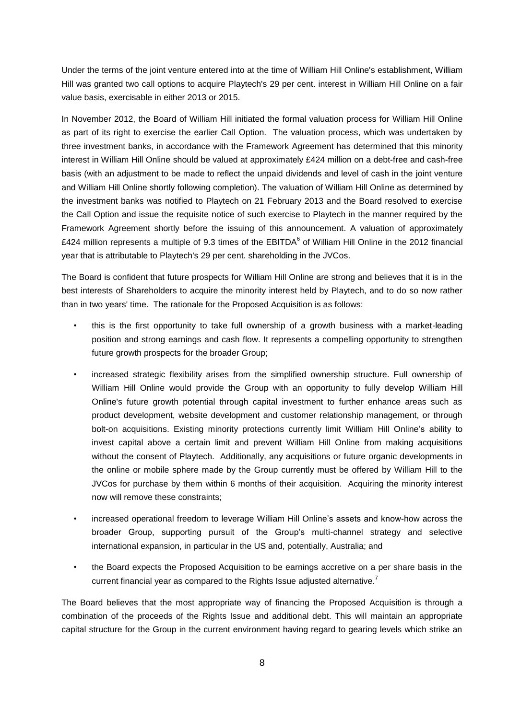Under the terms of the joint venture entered into at the time of William Hill Online's establishment, William Hill was granted two call options to acquire Playtech's 29 per cent. interest in William Hill Online on a fair value basis, exercisable in either 2013 or 2015.

In November 2012, the Board of William Hill initiated the formal valuation process for William Hill Online as part of its right to exercise the earlier Call Option. The valuation process, which was undertaken by three investment banks, in accordance with the Framework Agreement has determined that this minority interest in William Hill Online should be valued at approximately £424 million on a debt-free and cash-free basis (with an adjustment to be made to reflect the unpaid dividends and level of cash in the joint venture and William Hill Online shortly following completion). The valuation of William Hill Online as determined by the investment banks was notified to Playtech on 21 February 2013 and the Board resolved to exercise the Call Option and issue the requisite notice of such exercise to Playtech in the manner required by the Framework Agreement shortly before the issuing of this announcement. A valuation of approximately £424 million represents a multiple of 9.3 times of the EBITDA<sup>6</sup> of William Hill Online in the 2012 financial year that is attributable to Playtech's 29 per cent. shareholding in the JVCos.

The Board is confident that future prospects for William Hill Online are strong and believes that it is in the best interests of Shareholders to acquire the minority interest held by Playtech, and to do so now rather than in two years' time. The rationale for the Proposed Acquisition is as follows:

- this is the first opportunity to take full ownership of a growth business with a market-leading position and strong earnings and cash flow. It represents a compelling opportunity to strengthen future growth prospects for the broader Group;
- increased strategic flexibility arises from the simplified ownership structure. Full ownership of William Hill Online would provide the Group with an opportunity to fully develop William Hill Online's future growth potential through capital investment to further enhance areas such as product development, website development and customer relationship management, or through bolt-on acquisitions. Existing minority protections currently limit William Hill Online's ability to invest capital above a certain limit and prevent William Hill Online from making acquisitions without the consent of Playtech. Additionally, any acquisitions or future organic developments in the online or mobile sphere made by the Group currently must be offered by William Hill to the JVCos for purchase by them within 6 months of their acquisition. Acquiring the minority interest now will remove these constraints;
- increased operational freedom to leverage William Hill Online's assets and know-how across the broader Group, supporting pursuit of the Group's multi-channel strategy and selective international expansion, in particular in the US and, potentially, Australia; and
- the Board expects the Proposed Acquisition to be earnings accretive on a per share basis in the current financial year as compared to the Rights Issue adjusted alternative.<sup>7</sup>

The Board believes that the most appropriate way of financing the Proposed Acquisition is through a combination of the proceeds of the Rights Issue and additional debt. This will maintain an appropriate capital structure for the Group in the current environment having regard to gearing levels which strike an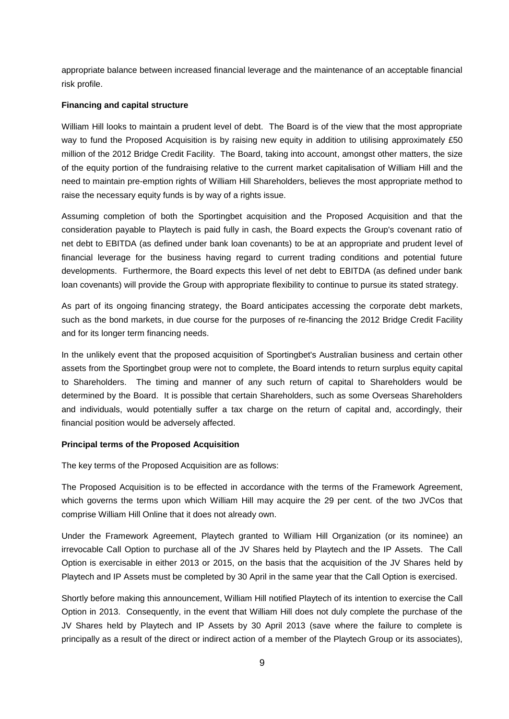appropriate balance between increased financial leverage and the maintenance of an acceptable financial risk profile.

### **Financing and capital structure**

William Hill looks to maintain a prudent level of debt. The Board is of the view that the most appropriate way to fund the Proposed Acquisition is by raising new equity in addition to utilising approximately £50 million of the 2012 Bridge Credit Facility. The Board, taking into account, amongst other matters, the size of the equity portion of the fundraising relative to the current market capitalisation of William Hill and the need to maintain pre-emption rights of William Hill Shareholders, believes the most appropriate method to raise the necessary equity funds is by way of a rights issue.

Assuming completion of both the Sportingbet acquisition and the Proposed Acquisition and that the consideration payable to Playtech is paid fully in cash, the Board expects the Group's covenant ratio of net debt to EBITDA (as defined under bank loan covenants) to be at an appropriate and prudent level of financial leverage for the business having regard to current trading conditions and potential future developments. Furthermore, the Board expects this level of net debt to EBITDA (as defined under bank loan covenants) will provide the Group with appropriate flexibility to continue to pursue its stated strategy.

As part of its ongoing financing strategy, the Board anticipates accessing the corporate debt markets, such as the bond markets, in due course for the purposes of re-financing the 2012 Bridge Credit Facility and for its longer term financing needs.

In the unlikely event that the proposed acquisition of Sportingbet's Australian business and certain other assets from the Sportingbet group were not to complete, the Board intends to return surplus equity capital to Shareholders. The timing and manner of any such return of capital to Shareholders would be determined by the Board. It is possible that certain Shareholders, such as some Overseas Shareholders and individuals, would potentially suffer a tax charge on the return of capital and, accordingly, their financial position would be adversely affected.

### **Principal terms of the Proposed Acquisition**

The key terms of the Proposed Acquisition are as follows:

The Proposed Acquisition is to be effected in accordance with the terms of the Framework Agreement, which governs the terms upon which William Hill may acquire the 29 per cent. of the two JVCos that comprise William Hill Online that it does not already own.

Under the Framework Agreement, Playtech granted to William Hill Organization (or its nominee) an irrevocable Call Option to purchase all of the JV Shares held by Playtech and the IP Assets. The Call Option is exercisable in either 2013 or 2015, on the basis that the acquisition of the JV Shares held by Playtech and IP Assets must be completed by 30 April in the same year that the Call Option is exercised.

Shortly before making this announcement, William Hill notified Playtech of its intention to exercise the Call Option in 2013. Consequently, in the event that William Hill does not duly complete the purchase of the JV Shares held by Playtech and IP Assets by 30 April 2013 (save where the failure to complete is principally as a result of the direct or indirect action of a member of the Playtech Group or its associates),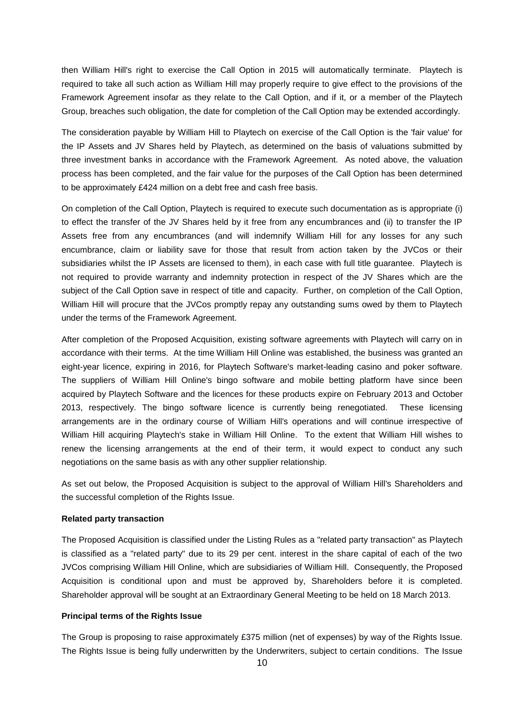then William Hill's right to exercise the Call Option in 2015 will automatically terminate. Playtech is required to take all such action as William Hill may properly require to give effect to the provisions of the Framework Agreement insofar as they relate to the Call Option, and if it, or a member of the Playtech Group, breaches such obligation, the date for completion of the Call Option may be extended accordingly.

The consideration payable by William Hill to Playtech on exercise of the Call Option is the 'fair value' for the IP Assets and JV Shares held by Playtech, as determined on the basis of valuations submitted by three investment banks in accordance with the Framework Agreement. As noted above, the valuation process has been completed, and the fair value for the purposes of the Call Option has been determined to be approximately £424 million on a debt free and cash free basis.

On completion of the Call Option, Playtech is required to execute such documentation as is appropriate (i) to effect the transfer of the JV Shares held by it free from any encumbrances and (ii) to transfer the IP Assets free from any encumbrances (and will indemnify William Hill for any losses for any such encumbrance, claim or liability save for those that result from action taken by the JVCos or their subsidiaries whilst the IP Assets are licensed to them), in each case with full title guarantee. Playtech is not required to provide warranty and indemnity protection in respect of the JV Shares which are the subject of the Call Option save in respect of title and capacity. Further, on completion of the Call Option, William Hill will procure that the JVCos promptly repay any outstanding sums owed by them to Playtech under the terms of the Framework Agreement.

After completion of the Proposed Acquisition, existing software agreements with Playtech will carry on in accordance with their terms. At the time William Hill Online was established, the business was granted an eight-year licence, expiring in 2016, for Playtech Software's market-leading casino and poker software. The suppliers of William Hill Online's bingo software and mobile betting platform have since been acquired by Playtech Software and the licences for these products expire on February 2013 and October 2013, respectively. The bingo software licence is currently being renegotiated. These licensing arrangements are in the ordinary course of William Hill's operations and will continue irrespective of William Hill acquiring Playtech's stake in William Hill Online. To the extent that William Hill wishes to renew the licensing arrangements at the end of their term, it would expect to conduct any such negotiations on the same basis as with any other supplier relationship.

As set out below, the Proposed Acquisition is subject to the approval of William Hill's Shareholders and the successful completion of the Rights Issue.

#### **Related party transaction**

The Proposed Acquisition is classified under the Listing Rules as a "related party transaction" as Playtech is classified as a "related party" due to its 29 per cent. interest in the share capital of each of the two JVCos comprising William Hill Online, which are subsidiaries of William Hill. Consequently, the Proposed Acquisition is conditional upon and must be approved by, Shareholders before it is completed. Shareholder approval will be sought at an Extraordinary General Meeting to be held on 18 March 2013.

#### **Principal terms of the Rights Issue**

The Group is proposing to raise approximately £375 million (net of expenses) by way of the Rights Issue. The Rights Issue is being fully underwritten by the Underwriters, subject to certain conditions. The Issue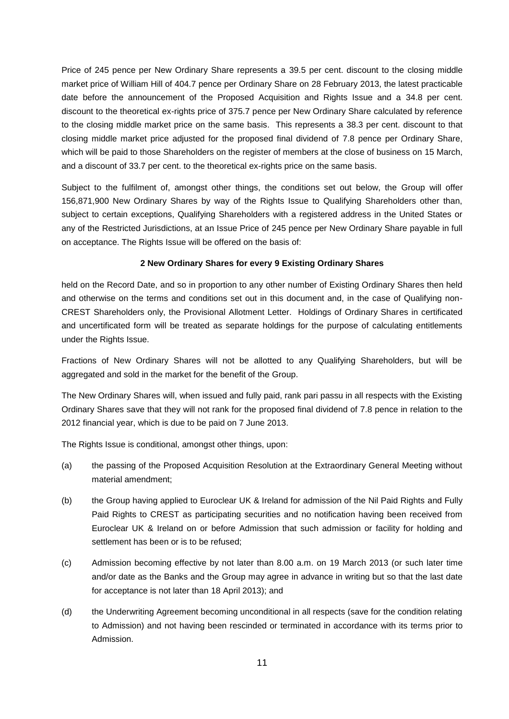Price of 245 pence per New Ordinary Share represents a 39.5 per cent. discount to the closing middle market price of William Hill of 404.7 pence per Ordinary Share on 28 February 2013, the latest practicable date before the announcement of the Proposed Acquisition and Rights Issue and a 34.8 per cent. discount to the theoretical ex-rights price of 375.7 pence per New Ordinary Share calculated by reference to the closing middle market price on the same basis. This represents a 38.3 per cent. discount to that closing middle market price adjusted for the proposed final dividend of 7.8 pence per Ordinary Share, which will be paid to those Shareholders on the register of members at the close of business on 15 March, and a discount of 33.7 per cent. to the theoretical ex-rights price on the same basis.

Subject to the fulfilment of, amongst other things, the conditions set out below, the Group will offer 156,871,900 New Ordinary Shares by way of the Rights Issue to Qualifying Shareholders other than, subject to certain exceptions, Qualifying Shareholders with a registered address in the United States or any of the Restricted Jurisdictions, at an Issue Price of 245 pence per New Ordinary Share payable in full on acceptance. The Rights Issue will be offered on the basis of:

### **2 New Ordinary Shares for every 9 Existing Ordinary Shares**

held on the Record Date, and so in proportion to any other number of Existing Ordinary Shares then held and otherwise on the terms and conditions set out in this document and, in the case of Qualifying non-CREST Shareholders only, the Provisional Allotment Letter. Holdings of Ordinary Shares in certificated and uncertificated form will be treated as separate holdings for the purpose of calculating entitlements under the Rights Issue.

Fractions of New Ordinary Shares will not be allotted to any Qualifying Shareholders, but will be aggregated and sold in the market for the benefit of the Group.

The New Ordinary Shares will, when issued and fully paid, rank pari passu in all respects with the Existing Ordinary Shares save that they will not rank for the proposed final dividend of 7.8 pence in relation to the 2012 financial year, which is due to be paid on 7 June 2013.

The Rights Issue is conditional, amongst other things, upon:

- (a) the passing of the Proposed Acquisition Resolution at the Extraordinary General Meeting without material amendment;
- (b) the Group having applied to Euroclear UK & Ireland for admission of the Nil Paid Rights and Fully Paid Rights to CREST as participating securities and no notification having been received from Euroclear UK & Ireland on or before Admission that such admission or facility for holding and settlement has been or is to be refused;
- (c) Admission becoming effective by not later than 8.00 a.m. on 19 March 2013 (or such later time and/or date as the Banks and the Group may agree in advance in writing but so that the last date for acceptance is not later than 18 April 2013); and
- (d) the Underwriting Agreement becoming unconditional in all respects (save for the condition relating to Admission) and not having been rescinded or terminated in accordance with its terms prior to Admission.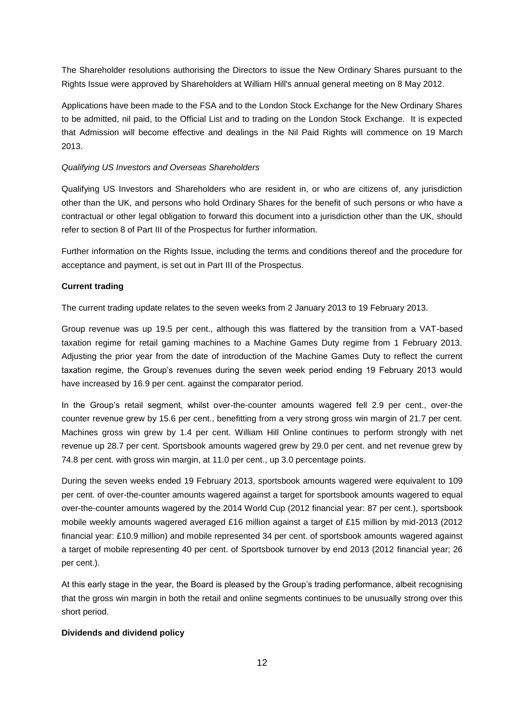The Shareholder resolutions authorising the Directors to issue the New Ordinary Shares pursuant to the Rights Issue were approved by Shareholders at William Hill's annual general meeting on 8 May 2012.

Applications have been made to the FSA and to the London Stock Exchange for the New Ordinary Shares to be admitted, nil paid, to the Official List and to trading on the London Stock Exchange. It is expected that Admission will become effective and dealings in the Nil Paid Rights will commence on 19 March 2013.

### *Qualifying US Investors and Overseas Shareholders*

Qualifying US Investors and Shareholders who are resident in, or who are citizens of, any jurisdiction other than the UK, and persons who hold Ordinary Shares for the benefit of such persons or who have a contractual or other legal obligation to forward this document into a jurisdiction other than the UK, should refer to section 8 of Part III of the Prospectus for further information.

Further information on the Rights Issue, including the terms and conditions thereof and the procedure for acceptance and payment, is set out in Part III of the Prospectus.

## **Current trading**

The current trading update relates to the seven weeks from 2 January 2013 to 19 February 2013.

Group revenue was up 19.5 per cent., although this was flattered by the transition from a VAT-based taxation regime for retail gaming machines to a Machine Games Duty regime from 1 February 2013. Adjusting the prior year from the date of introduction of the Machine Games Duty to reflect the current taxation regime, the Group's revenues during the seven week period ending 19 February 2013 would have increased by 16.9 per cent. against the comparator period.

In the Group's retail segment, whilst over-the-counter amounts wagered fell 2.9 per cent., over-the counter revenue grew by 15.6 per cent., benefitting from a very strong gross win margin of 21.7 per cent. Machines gross win grew by 1.4 per cent. William Hill Online continues to perform strongly with net revenue up 28.7 per cent. Sportsbook amounts wagered grew by 29.0 per cent. and net revenue grew by 74.8 per cent. with gross win margin, at 11.0 per cent., up 3.0 percentage points.

During the seven weeks ended 19 February 2013, sportsbook amounts wagered were equivalent to 109 per cent. of over-the-counter amounts wagered against a target for sportsbook amounts wagered to equal over-the-counter amounts wagered by the 2014 World Cup (2012 financial year: 87 per cent.), sportsbook mobile weekly amounts wagered averaged £16 million against a target of £15 million by mid-2013 (2012 financial year: £10.9 million) and mobile represented 34 per cent. of sportsbook amounts wagered against a target of mobile representing 40 per cent. of Sportsbook turnover by end 2013 (2012 financial year; 26 per cent.).

At this early stage in the year, the Board is pleased by the Group's trading performance, albeit recognising that the gross win margin in both the retail and online segments continues to be unusually strong over this short period.

### **Dividends and dividend policy**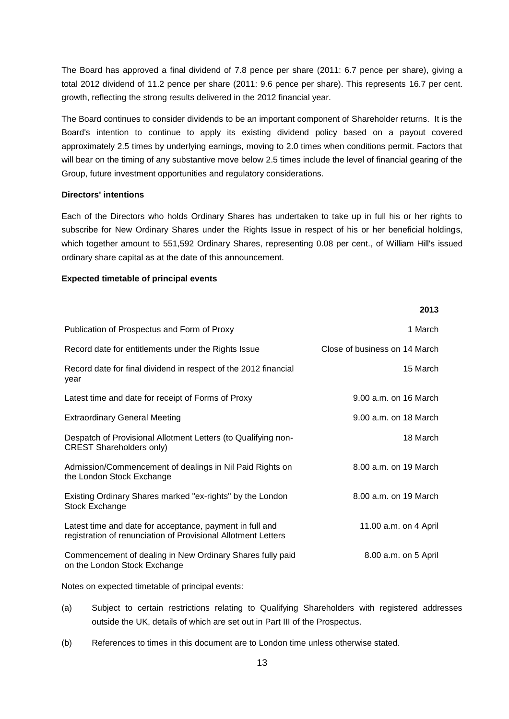The Board has approved a final dividend of 7.8 pence per share (2011: 6.7 pence per share), giving a total 2012 dividend of 11.2 pence per share (2011: 9.6 pence per share). This represents 16.7 per cent. growth, reflecting the strong results delivered in the 2012 financial year.

The Board continues to consider dividends to be an important component of Shareholder returns. It is the Board's intention to continue to apply its existing dividend policy based on a payout covered approximately 2.5 times by underlying earnings, moving to 2.0 times when conditions permit. Factors that will bear on the timing of any substantive move below 2.5 times include the level of financial gearing of the Group, future investment opportunities and regulatory considerations.

### **Directors' intentions**

Each of the Directors who holds Ordinary Shares has undertaken to take up in full his or her rights to subscribe for New Ordinary Shares under the Rights Issue in respect of his or her beneficial holdings, which together amount to 551,592 Ordinary Shares, representing 0.08 per cent., of William Hill's issued ordinary share capital as at the date of this announcement.

### **Expected timetable of principal events**

|                                                                                                                           | 2013                          |
|---------------------------------------------------------------------------------------------------------------------------|-------------------------------|
| Publication of Prospectus and Form of Proxy                                                                               | 1 March                       |
| Record date for entitlements under the Rights Issue                                                                       | Close of business on 14 March |
| Record date for final dividend in respect of the 2012 financial<br>year                                                   | 15 March                      |
| Latest time and date for receipt of Forms of Proxy                                                                        | 9.00 a.m. on 16 March         |
| <b>Extraordinary General Meeting</b>                                                                                      | 9.00 a.m. on 18 March         |
| Despatch of Provisional Allotment Letters (to Qualifying non-<br><b>CREST Shareholders only)</b>                          | 18 March                      |
| Admission/Commencement of dealings in Nil Paid Rights on<br>the London Stock Exchange                                     | 8.00 a.m. on 19 March         |
| Existing Ordinary Shares marked "ex-rights" by the London<br>Stock Exchange                                               | 8.00 a.m. on 19 March         |
| Latest time and date for acceptance, payment in full and<br>registration of renunciation of Provisional Allotment Letters | 11.00 a.m. on 4 April         |
| Commencement of dealing in New Ordinary Shares fully paid<br>on the London Stock Exchange                                 | 8.00 a.m. on 5 April          |

Notes on expected timetable of principal events:

- (a) Subject to certain restrictions relating to Qualifying Shareholders with registered addresses outside the UK, details of which are set out in Part III of the Prospectus.
- (b) References to times in this document are to London time unless otherwise stated.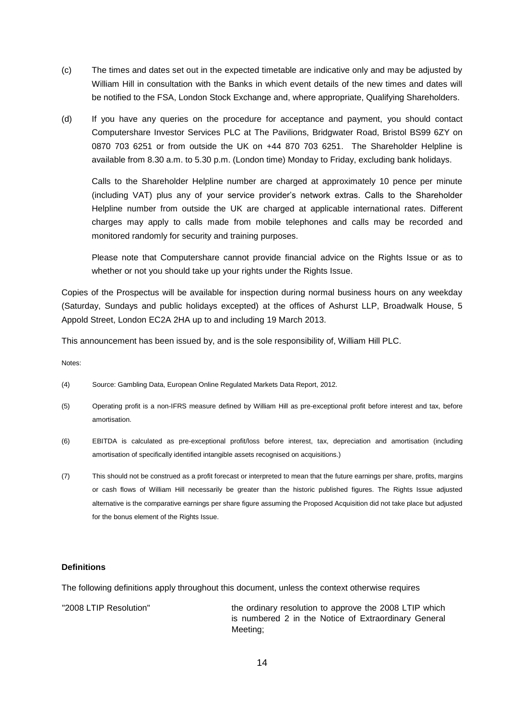- (c) The times and dates set out in the expected timetable are indicative only and may be adjusted by William Hill in consultation with the Banks in which event details of the new times and dates will be notified to the FSA, London Stock Exchange and, where appropriate, Qualifying Shareholders.
- (d) If you have any queries on the procedure for acceptance and payment, you should contact Computershare Investor Services PLC at The Pavilions, Bridgwater Road, Bristol BS99 6ZY on 0870 703 6251 or from outside the UK on +44 870 703 6251. The Shareholder Helpline is available from 8.30 a.m. to 5.30 p.m. (London time) Monday to Friday, excluding bank holidays.

Calls to the Shareholder Helpline number are charged at approximately 10 pence per minute (including VAT) plus any of your service provider's network extras. Calls to the Shareholder Helpline number from outside the UK are charged at applicable international rates. Different charges may apply to calls made from mobile telephones and calls may be recorded and monitored randomly for security and training purposes.

Please note that Computershare cannot provide financial advice on the Rights Issue or as to whether or not you should take up your rights under the Rights Issue.

Copies of the Prospectus will be available for inspection during normal business hours on any weekday (Saturday, Sundays and public holidays excepted) at the offices of Ashurst LLP, Broadwalk House, 5 Appold Street, London EC2A 2HA up to and including 19 March 2013.

This announcement has been issued by, and is the sole responsibility of, William Hill PLC.

Notes:

- (4) Source: Gambling Data, European Online Regulated Markets Data Report, 2012.
- (5) Operating profit is a non-IFRS measure defined by William Hill as pre-exceptional profit before interest and tax, before amortisation.
- (6) EBITDA is calculated as pre-exceptional profit/loss before interest, tax, depreciation and amortisation (including amortisation of specifically identified intangible assets recognised on acquisitions.)
- (7) This should not be construed as a profit forecast or interpreted to mean that the future earnings per share, profits, margins or cash flows of William Hill necessarily be greater than the historic published figures. The Rights Issue adjusted alternative is the comparative earnings per share figure assuming the Proposed Acquisition did not take place but adjusted for the bonus element of the Rights Issue.

#### **Definitions**

The following definitions apply throughout this document, unless the context otherwise requires

"2008 LTIP Resolution" the ordinary resolution to approve the 2008 LTIP which is numbered 2 in the Notice of Extraordinary General Meeting;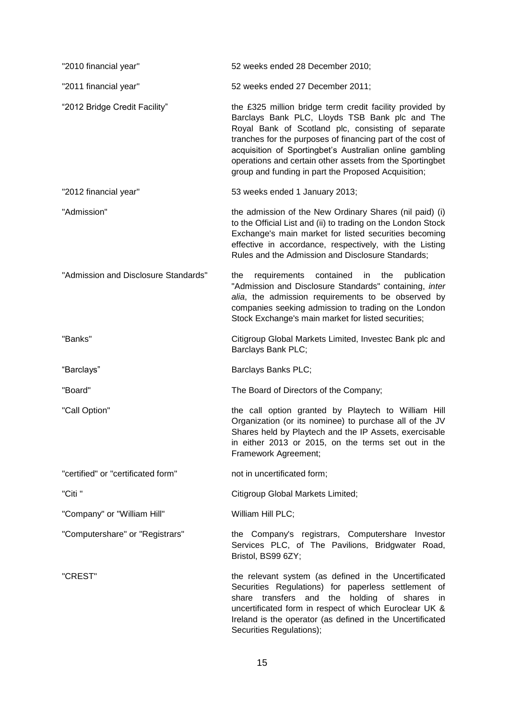| "2010 financial year"                | 52 weeks ended 28 December 2010;                                                                                                                                                                                                                                                                                                                                                                             |
|--------------------------------------|--------------------------------------------------------------------------------------------------------------------------------------------------------------------------------------------------------------------------------------------------------------------------------------------------------------------------------------------------------------------------------------------------------------|
| "2011 financial year"                | 52 weeks ended 27 December 2011;                                                                                                                                                                                                                                                                                                                                                                             |
| "2012 Bridge Credit Facility"        | the £325 million bridge term credit facility provided by<br>Barclays Bank PLC, Lloyds TSB Bank plc and The<br>Royal Bank of Scotland plc, consisting of separate<br>tranches for the purposes of financing part of the cost of<br>acquisition of Sportingbet's Australian online gambling<br>operations and certain other assets from the Sportingbet<br>group and funding in part the Proposed Acquisition; |
| "2012 financial year"                | 53 weeks ended 1 January 2013;                                                                                                                                                                                                                                                                                                                                                                               |
| "Admission"                          | the admission of the New Ordinary Shares (nil paid) (i)<br>to the Official List and (ii) to trading on the London Stock<br>Exchange's main market for listed securities becoming<br>effective in accordance, respectively, with the Listing<br>Rules and the Admission and Disclosure Standards;                                                                                                             |
| "Admission and Disclosure Standards" | requirements<br>contained<br>the<br>in<br>the<br>publication<br>"Admission and Disclosure Standards" containing, inter<br>alia, the admission requirements to be observed by<br>companies seeking admission to trading on the London<br>Stock Exchange's main market for listed securities;                                                                                                                  |
| "Banks"                              | Citigroup Global Markets Limited, Investec Bank plc and<br>Barclays Bank PLC;                                                                                                                                                                                                                                                                                                                                |
| "Barclays"                           | Barclays Banks PLC;                                                                                                                                                                                                                                                                                                                                                                                          |
| "Board"                              | The Board of Directors of the Company;                                                                                                                                                                                                                                                                                                                                                                       |
| "Call Option"                        | the call option granted by Playtech to William Hill<br>Organization (or its nominee) to purchase all of the JV<br>Shares held by Playtech and the IP Assets, exercisable<br>in either 2013 or 2015, on the terms set out in the<br>Framework Agreement;                                                                                                                                                      |
| "certified" or "certificated form"   | not in uncertificated form;                                                                                                                                                                                                                                                                                                                                                                                  |
| "Citi "                              | Citigroup Global Markets Limited;                                                                                                                                                                                                                                                                                                                                                                            |
| "Company" or "William Hill"          | William Hill PLC;                                                                                                                                                                                                                                                                                                                                                                                            |
| "Computershare" or "Registrars"      | the Company's registrars, Computershare Investor<br>Services PLC, of The Pavilions, Bridgwater Road,<br>Bristol, BS99 6ZY;                                                                                                                                                                                                                                                                                   |
| "CREST"                              | the relevant system (as defined in the Uncertificated<br>Securities Regulations) for paperless settlement of<br>transfers<br>and the<br>holding of shares in<br>share<br>uncertificated form in respect of which Euroclear UK &<br>Ireland is the operator (as defined in the Uncertificated<br>Securities Regulations);                                                                                     |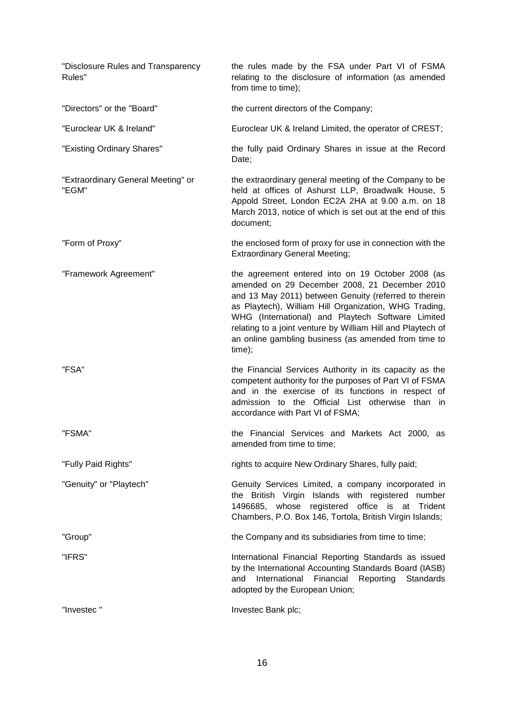| "Disclosure Rules and Transparency<br>Rules" | the rules made by the FSA under Part VI of FSMA<br>relating to the disclosure of information (as amended<br>from time to time);                                                                                                                                                                                                                                                                            |
|----------------------------------------------|------------------------------------------------------------------------------------------------------------------------------------------------------------------------------------------------------------------------------------------------------------------------------------------------------------------------------------------------------------------------------------------------------------|
| "Directors" or the "Board"                   | the current directors of the Company;                                                                                                                                                                                                                                                                                                                                                                      |
| "Euroclear UK & Ireland"                     | Euroclear UK & Ireland Limited, the operator of CREST;                                                                                                                                                                                                                                                                                                                                                     |
| "Existing Ordinary Shares"                   | the fully paid Ordinary Shares in issue at the Record<br>Date;                                                                                                                                                                                                                                                                                                                                             |
| "Extraordinary General Meeting" or<br>"EGM"  | the extraordinary general meeting of the Company to be<br>held at offices of Ashurst LLP, Broadwalk House, 5<br>Appold Street, London EC2A 2HA at 9.00 a.m. on 18<br>March 2013, notice of which is set out at the end of this<br>document;                                                                                                                                                                |
| "Form of Proxy"                              | the enclosed form of proxy for use in connection with the<br><b>Extraordinary General Meeting;</b>                                                                                                                                                                                                                                                                                                         |
| "Framework Agreement"                        | the agreement entered into on 19 October 2008 (as<br>amended on 29 December 2008, 21 December 2010<br>and 13 May 2011) between Genuity (referred to therein<br>as Playtech), William Hill Organization, WHG Trading,<br>WHG (International) and Playtech Software Limited<br>relating to a joint venture by William Hill and Playtech of<br>an online gambling business (as amended from time to<br>time); |
| "FSA"                                        | the Financial Services Authority in its capacity as the<br>competent authority for the purposes of Part VI of FSMA<br>and in the exercise of its functions in respect of<br>admission to the Official List otherwise than in<br>accordance with Part VI of FSMA;                                                                                                                                           |
| "FSMA"                                       | the Financial Services and Markets Act 2000, as<br>amended from time to time;                                                                                                                                                                                                                                                                                                                              |
| "Fully Paid Rights"                          | rights to acquire New Ordinary Shares, fully paid;                                                                                                                                                                                                                                                                                                                                                         |
| "Genuity" or "Playtech"                      | Genuity Services Limited, a company incorporated in<br>the British Virgin Islands with registered number<br>1496685, whose registered office is at Trident<br>Chambers, P.O. Box 146, Tortola, British Virgin Islands;                                                                                                                                                                                     |
| "Group"                                      | the Company and its subsidiaries from time to time;                                                                                                                                                                                                                                                                                                                                                        |
| "IFRS"                                       | International Financial Reporting Standards as issued<br>by the International Accounting Standards Board (IASB)<br>and International Financial<br>Reporting<br>Standards<br>adopted by the European Union;                                                                                                                                                                                                 |
| "Investec"                                   | Investec Bank plc;                                                                                                                                                                                                                                                                                                                                                                                         |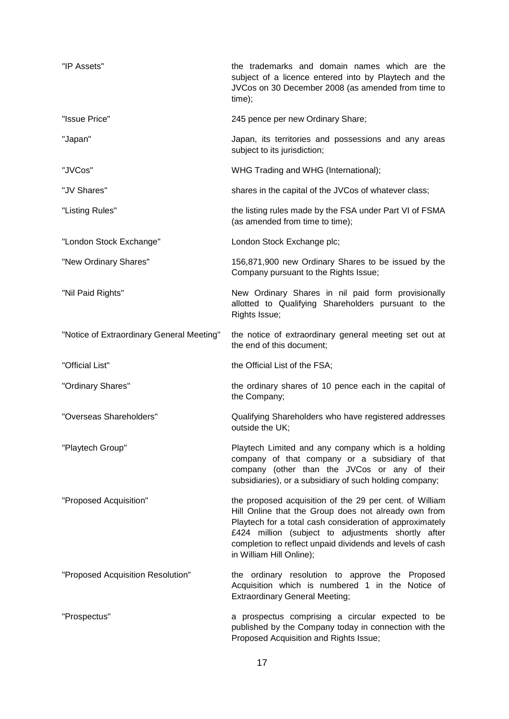| "IP Assets"                               | the trademarks and domain names which are the<br>subject of a licence entered into by Playtech and the<br>JVCos on 30 December 2008 (as amended from time to<br>time);                                                                                                                                                     |
|-------------------------------------------|----------------------------------------------------------------------------------------------------------------------------------------------------------------------------------------------------------------------------------------------------------------------------------------------------------------------------|
| "Issue Price"                             | 245 pence per new Ordinary Share;                                                                                                                                                                                                                                                                                          |
| "Japan"                                   | Japan, its territories and possessions and any areas<br>subject to its jurisdiction;                                                                                                                                                                                                                                       |
| "JVCos"                                   | WHG Trading and WHG (International);                                                                                                                                                                                                                                                                                       |
| "JV Shares"                               | shares in the capital of the JVCos of whatever class;                                                                                                                                                                                                                                                                      |
| "Listing Rules"                           | the listing rules made by the FSA under Part VI of FSMA<br>(as amended from time to time);                                                                                                                                                                                                                                 |
| "London Stock Exchange"                   | London Stock Exchange plc;                                                                                                                                                                                                                                                                                                 |
| "New Ordinary Shares"                     | 156,871,900 new Ordinary Shares to be issued by the<br>Company pursuant to the Rights Issue;                                                                                                                                                                                                                               |
| "Nil Paid Rights"                         | New Ordinary Shares in nil paid form provisionally<br>allotted to Qualifying Shareholders pursuant to the<br>Rights Issue;                                                                                                                                                                                                 |
| "Notice of Extraordinary General Meeting" | the notice of extraordinary general meeting set out at<br>the end of this document;                                                                                                                                                                                                                                        |
| "Official List"                           | the Official List of the FSA;                                                                                                                                                                                                                                                                                              |
| "Ordinary Shares"                         | the ordinary shares of 10 pence each in the capital of<br>the Company;                                                                                                                                                                                                                                                     |
| "Overseas Shareholders"                   | Qualifying Shareholders who have registered addresses<br>outside the UK:                                                                                                                                                                                                                                                   |
| "Playtech Group"                          | Playtech Limited and any company which is a holding<br>company of that company or a subsidiary of that<br>company (other than the JVCos or any of their<br>subsidiaries), or a subsidiary of such holding company;                                                                                                         |
| "Proposed Acquisition"                    | the proposed acquisition of the 29 per cent. of William<br>Hill Online that the Group does not already own from<br>Playtech for a total cash consideration of approximately<br>£424 million (subject to adjustments shortly after<br>completion to reflect unpaid dividends and levels of cash<br>in William Hill Online); |
| "Proposed Acquisition Resolution"         | the ordinary resolution to approve the Proposed<br>Acquisition which is numbered 1 in the Notice of<br><b>Extraordinary General Meeting;</b>                                                                                                                                                                               |
| "Prospectus"                              | a prospectus comprising a circular expected to be<br>published by the Company today in connection with the<br>Proposed Acquisition and Rights Issue;                                                                                                                                                                       |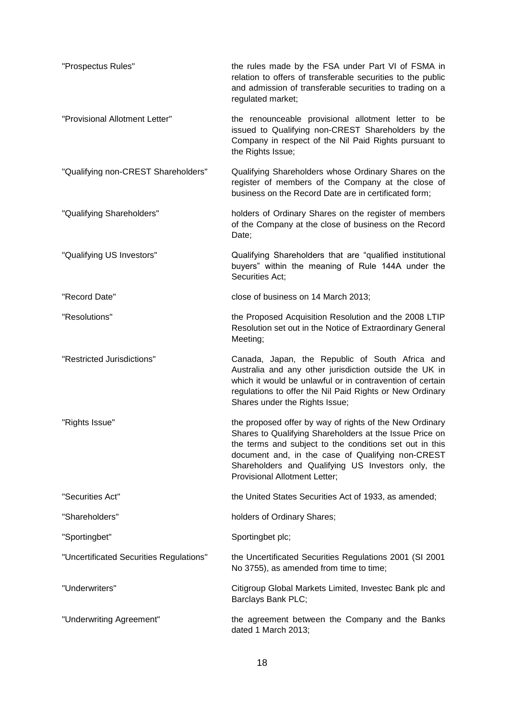| "Prospectus Rules"                      | the rules made by the FSA under Part VI of FSMA in<br>relation to offers of transferable securities to the public<br>and admission of transferable securities to trading on a<br>regulated market;                                                                                                                        |
|-----------------------------------------|---------------------------------------------------------------------------------------------------------------------------------------------------------------------------------------------------------------------------------------------------------------------------------------------------------------------------|
| "Provisional Allotment Letter"          | the renounceable provisional allotment letter to be<br>issued to Qualifying non-CREST Shareholders by the<br>Company in respect of the Nil Paid Rights pursuant to<br>the Rights Issue;                                                                                                                                   |
| "Qualifying non-CREST Shareholders"     | Qualifying Shareholders whose Ordinary Shares on the<br>register of members of the Company at the close of<br>business on the Record Date are in certificated form;                                                                                                                                                       |
| "Qualifying Shareholders"               | holders of Ordinary Shares on the register of members<br>of the Company at the close of business on the Record<br>Date;                                                                                                                                                                                                   |
| "Qualifying US Investors"               | Qualifying Shareholders that are "qualified institutional<br>buyers" within the meaning of Rule 144A under the<br>Securities Act;                                                                                                                                                                                         |
| "Record Date"                           | close of business on 14 March 2013;                                                                                                                                                                                                                                                                                       |
| "Resolutions"                           | the Proposed Acquisition Resolution and the 2008 LTIP<br>Resolution set out in the Notice of Extraordinary General<br>Meeting;                                                                                                                                                                                            |
| "Restricted Jurisdictions"              | Canada, Japan, the Republic of South Africa and<br>Australia and any other jurisdiction outside the UK in<br>which it would be unlawful or in contravention of certain<br>regulations to offer the Nil Paid Rights or New Ordinary<br>Shares under the Rights Issue;                                                      |
| "Rights Issue"                          | the proposed offer by way of rights of the New Ordinary<br>Shares to Qualifying Shareholders at the Issue Price on<br>the terms and subject to the conditions set out in this<br>document and, in the case of Qualifying non-CREST<br>Shareholders and Qualifying US Investors only, the<br>Provisional Allotment Letter; |
| "Securities Act"                        | the United States Securities Act of 1933, as amended;                                                                                                                                                                                                                                                                     |
| "Shareholders"                          | holders of Ordinary Shares;                                                                                                                                                                                                                                                                                               |
| "Sportingbet"                           | Sportingbet plc;                                                                                                                                                                                                                                                                                                          |
| "Uncertificated Securities Regulations" | the Uncertificated Securities Regulations 2001 (SI 2001<br>No 3755), as amended from time to time;                                                                                                                                                                                                                        |
| "Underwriters"                          | Citigroup Global Markets Limited, Investec Bank plc and<br>Barclays Bank PLC;                                                                                                                                                                                                                                             |
| "Underwriting Agreement"                | the agreement between the Company and the Banks<br>dated 1 March 2013;                                                                                                                                                                                                                                                    |